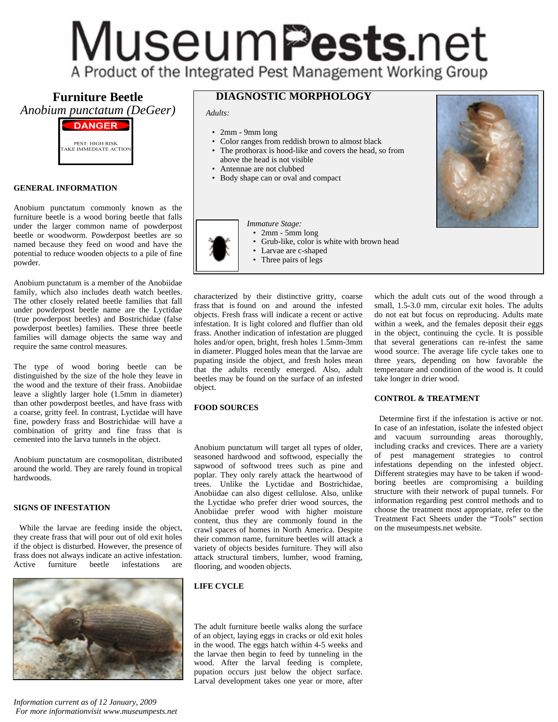## Museum**Pests**.net A Product of the Integrated Pest Management Working Group

**Furniture Beetle** *Anobium punctatum (DeGeer)*



#### **GENERAL INFORMATION**

Anobium punctatum commonly known as the furniture beetle is a wood boring beetle that falls under the larger common name of powderpost beetle or woodworm. Powderpost beetles are so named because they feed on wood and have the potential to reduce wooden objects to a pile of fine powder.

Anobium punctatum is a member of the Anobiidae family, which also includes death watch beetles. The other closely related beetle families that fall under powderpost beetle name are the Lyctidae (true powderpost beetles) and Bostrichidae (false powderpost beetles) families. These three beetle families will damage objects the same way and require the same control measures.

The type of wood boring beetle can be distinguished by the size of the hole they leave in the wood and the texture of their frass. Anobiidae leave a slightly larger hole (1.5mm in diameter) than other powderpost beetles, and have frass with a coarse, gritty feel. In contrast, Lyctidae will have fine, powdery frass and Bostrichidae will have a combination of gritty and fine frass that is cemented into the larva tunnels in the object.

Anobium punctatum are cosmopolitan, distributed around the world. They are rarely found in tropical hardwoods.

#### **SIGNS OF INFESTATION**

 While the larvae are feeding inside the object, they create frass that will pour out of old exit holes if the object is disturbed. However, the presence of frass does not always indicate an active infestation. Active furniture beetle infestations are



*Information current as of 12 January, 2009 For more informationvisit www.museumpests.net*

## **DIAGNOSTIC MORPHOLOGY**

*Adults:*

- 2mm 9mm long
- Color ranges from reddish brown to almost black
- The prothorax is hood-like and covers the head, so from above the head is not visible
- Antennae are not clubbed
- Body shape can or oval and compact



- 2mm 5mm long
- Grub-like, color is white with brown head
- Larvae are c-shaped
- Three pairs of legs

characterized by their distinctive gritty, coarse frass that is found on and around the infested objects. Fresh frass will indicate a recent or active infestation. It is light colored and fluffier than old frass. Another indication of infestation are plugged holes and/or open, bright, fresh holes 1.5mm-3mm in diameter. Plugged holes mean that the larvae are pupating inside the object, and fresh holes mean that the adults recently emerged. Also, adult beetles may be found on the surface of an infested

which the adult cuts out of the wood through a small, 1.5-3.0 mm, circular exit holes. The adults do not eat but focus on reproducing. Adults mate within a week, and the females deposit their eggs in the object, continuing the cycle. It is possible that several generations can re-infest the same wood source. The average life cycle takes one to three years, depending on how favorable the temperature and condition of the wood is. It could take longer in drier wood.

### **CONTROL & TREATMENT**

Anobium punctatum will target all types of older, seasoned hardwood and softwood, especially the sapwood of softwood trees such as pine and poplar. They only rarely attack the heartwood of trees. Unlike the Lyctidae and Bostrichidae, Anobiidae can also digest cellulose. Also, unlike the Lyctidae who prefer drier wood sources, the Anobiidae prefer wood with higher moisture content, thus they are commonly found in the crawl spaces of homes in North America. Despite their common name, furniture beetles will attack a variety of objects besides furniture. They will also attack structural timbers, lumber, wood framing, flooring, and wooden objects.

#### **LIFE CYCLE**

object.

**FOOD SOURCES**

The adult furniture beetle walks along the surface of an object, laying eggs in cracks or old exit holes in the wood. The eggs hatch within 4-5 weeks and the larvae then begin to feed by tunneling in the wood. After the larval feeding is complete, pupation occurs just below the object surface. Larval development takes one year or more, after

 Determine first if the infestation is active or not. In case of an infestation, isolate the infested object and vacuum surrounding areas thoroughly, including cracks and crevices. There are a variety of pest management strategies to control infestations depending on the infested object. Different strategies may have to be taken if woodboring beetles are compromising a building structure with their network of pupal tunnels. For information regarding pest control methods and to choose the treatment most appropriate, refer to the Treatment Fact Sheets under the "Tools" section on the museumpests.net website.